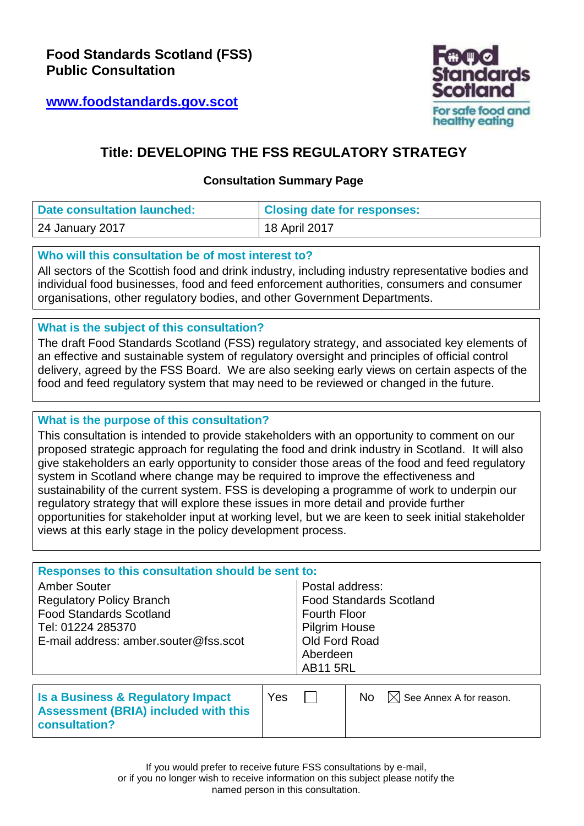**[www.foodstandards.gov.scot](http://www.foodstandards.gov.scot/)**



# **Title: DEVELOPING THE FSS REGULATORY STRATEGY**

## **Consultation Summary Page**

| Date consultation launched: | <b>Closing date for responses:</b> |
|-----------------------------|------------------------------------|
| 24 January 2017             | 18 April 2017                      |

### **Who will this consultation be of most interest to?**

All sectors of the Scottish food and drink industry, including industry representative bodies and individual food businesses, food and feed enforcement authorities, consumers and consumer organisations, other regulatory bodies, and other Government Departments.

## **What is the subject of this consultation?**

The draft Food Standards Scotland (FSS) regulatory strategy, and associated key elements of an effective and sustainable system of regulatory oversight and principles of official control delivery, agreed by the FSS Board. We are also seeking early views on certain aspects of the food and feed regulatory system that may need to be reviewed or changed in the future.

### **What is the purpose of this consultation?**

This consultation is intended to provide stakeholders with an opportunity to comment on our proposed strategic approach for regulating the food and drink industry in Scotland. It will also give stakeholders an early opportunity to consider those areas of the food and feed regulatory system in Scotland where change may be required to improve the effectiveness and sustainability of the current system. FSS is developing a programme of work to underpin our regulatory strategy that will explore these issues in more detail and provide further opportunities for stakeholder input at working level, but we are keen to seek initial stakeholder views at this early stage in the policy development process.

| Responses to this consultation should be sent to: |                                |                      |     |  |  |  |  |
|---------------------------------------------------|--------------------------------|----------------------|-----|--|--|--|--|
| <b>Amber Souter</b>                               | Postal address:                |                      |     |  |  |  |  |
| <b>Regulatory Policy Branch</b>                   | <b>Food Standards Scotland</b> |                      |     |  |  |  |  |
| <b>Food Standards Scotland</b>                    |                                | <b>Fourth Floor</b>  |     |  |  |  |  |
| Tel: 01224 285370                                 |                                | <b>Pilgrim House</b> |     |  |  |  |  |
| E-mail address: amber.souter@fss.scot             |                                | Old Ford Road        |     |  |  |  |  |
|                                                   |                                | Aberdeen             |     |  |  |  |  |
|                                                   |                                | <b>AB11 5RL</b>      |     |  |  |  |  |
|                                                   |                                |                      |     |  |  |  |  |
| .                                                 |                                |                      | . . |  |  |  |  |

| Yes<br>Is a Business & Regulatory Impact<br><b>Assessment (BRIA) included with this</b><br>consultation? |  |  | No. | $\boxtimes$ See Annex A for reason. |
|----------------------------------------------------------------------------------------------------------|--|--|-----|-------------------------------------|
|----------------------------------------------------------------------------------------------------------|--|--|-----|-------------------------------------|

If you would prefer to receive future FSS consultations by e-mail,

or if you no longer wish to receive information on this subject please notify the named person in this consultation.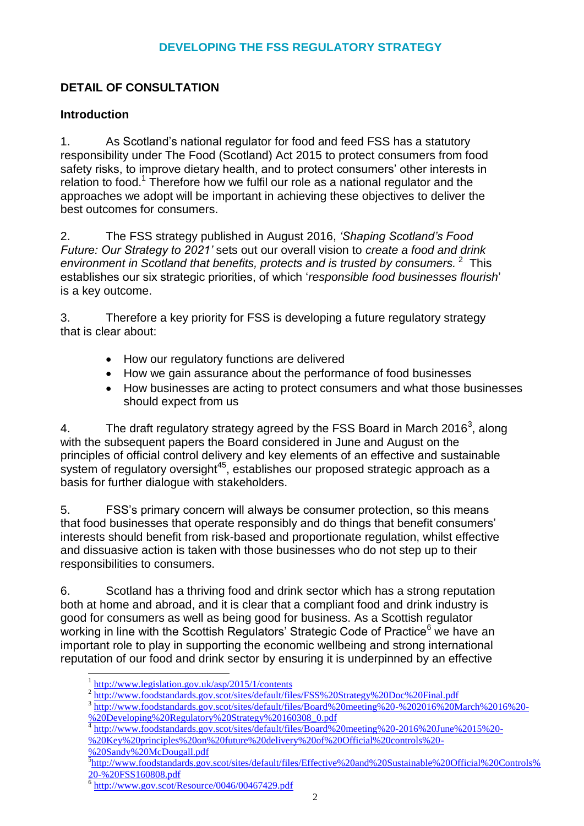## **DEVELOPING THE FSS REGULATORY STRATEGY**

## **DETAIL OF CONSULTATION**

## **Introduction**

1. As Scotland's national regulator for food and feed FSS has a statutory responsibility under The Food (Scotland) Act 2015 to protect consumers from food safety risks, to improve dietary health, and to protect consumers' other interests in relation to food.<sup>1</sup> Therefore how we fulfil our role as a national regulator and the approaches we adopt will be important in achieving these objectives to deliver the best outcomes for consumers.

2. The FSS strategy published in August 2016, *'Shaping Scotland's Food Future: Our Strategy to 2021'* sets out our overall vision to *create a food and drink*  environment in Scotland that benefits, protects and is trusted by consumers.<sup>2</sup> This establishes our six strategic priorities, of which '*responsible food businesses flourish*' is a key outcome.

3. Therefore a key priority for FSS is developing a future regulatory strategy that is clear about:

- How our regulatory functions are delivered
- How we gain assurance about the performance of food businesses
- How businesses are acting to protect consumers and what those businesses should expect from us

4. The draft regulatory strategy agreed by the FSS Board in March 2016<sup>3</sup>, along with the subsequent papers the Board considered in June and August on the principles of official control delivery and key elements of an effective and sustainable .<br>system of regulatory oversight<sup>45</sup>, establishes our proposed strategic approach as a basis for further dialogue with stakeholders.

5. FSS's primary concern will always be consumer protection, so this means that food businesses that operate responsibly and do things that benefit consumers' interests should benefit from risk-based and proportionate regulation, whilst effective and dissuasive action is taken with those businesses who do not step up to their responsibilities to consumers.

6. Scotland has a thriving food and drink sector which has a strong reputation both at home and abroad, and it is clear that a compliant food and drink industry is good for consumers as well as being good for business. As a Scottish regulator working in line with the Scottish Regulators' Strategic Code of Practice<sup>6</sup> we have an important role to play in supporting the economic wellbeing and strong international reputation of our food and drink sector by ensuring it is underpinned by an effective

- <sup>4</sup> [http://www.foodstandards.gov.scot/sites/default/files/Board%20meeting%20-2016%20June%2015%20-](http://www.foodstandards.gov.scot/sites/default/files/Board%20meeting%20-2016%20June%2015%20-%20Key%20principles%20on%20future%20delivery%20of%20Official%20controls%20-%20Sandy%20McDougall.pdf) [%20Key%20principles%20on%20future%20delivery%20of%20Official%20controls%20-](http://www.foodstandards.gov.scot/sites/default/files/Board%20meeting%20-2016%20June%2015%20-%20Key%20principles%20on%20future%20delivery%20of%20Official%20controls%20-%20Sandy%20McDougall.pdf)
- [%20Sandy%20McDougall.pdf](http://www.foodstandards.gov.scot/sites/default/files/Board%20meeting%20-2016%20June%2015%20-%20Key%20principles%20on%20future%20delivery%20of%20Official%20controls%20-%20Sandy%20McDougall.pdf)

-

<sup>&</sup>lt;sup>1</sup> <http://www.legislation.gov.uk/asp/2015/1/contents>

<sup>&</sup>lt;sup>2</sup> <http://www.foodstandards.gov.scot/sites/default/files/FSS%20Strategy%20Doc%20Final.pdf>

<sup>&</sup>lt;sup>3</sup> [http://www.foodstandards.gov.scot/sites/default/files/Board%20meeting%20-%202016%20March%2016%20-](http://www.foodstandards.gov.scot/sites/default/files/Board%20meeting%20-%202016%20March%2016%20-%20Developing%20Regulatory%20Strategy%20160308_0.pdf) [%20Developing%20Regulatory%20Strategy%20160308\\_0.pdf](http://www.foodstandards.gov.scot/sites/default/files/Board%20meeting%20-%202016%20March%2016%20-%20Developing%20Regulatory%20Strategy%20160308_0.pdf)

<sup>5</sup> [http://www.foodstandards.gov.scot/sites/default/files/Effective%20and%20Sustainable%20Official%20Controls%](http://www.foodstandards.gov.scot/sites/default/files/Effective%20and%20Sustainable%20Official%20Controls%20-%20FSS160808.pdf) [20-%20FSS160808.pdf](http://www.foodstandards.gov.scot/sites/default/files/Effective%20and%20Sustainable%20Official%20Controls%20-%20FSS160808.pdf)

<sup>6</sup> <http://www.gov.scot/Resource/0046/00467429.pdf>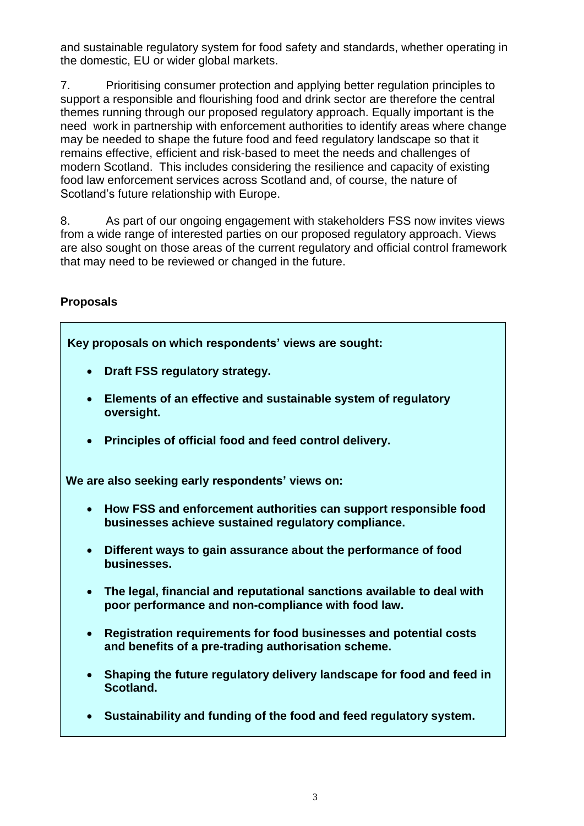and sustainable regulatory system for food safety and standards, whether operating in the domestic, EU or wider global markets.

7. Prioritising consumer protection and applying better regulation principles to support a responsible and flourishing food and drink sector are therefore the central themes running through our proposed regulatory approach. Equally important is the need work in partnership with enforcement authorities to identify areas where change may be needed to shape the future food and feed regulatory landscape so that it remains effective, efficient and risk-based to meet the needs and challenges of modern Scotland. This includes considering the resilience and capacity of existing food law enforcement services across Scotland and, of course, the nature of Scotland's future relationship with Europe.

8. As part of our ongoing engagement with stakeholders FSS now invites views from a wide range of interested parties on our proposed regulatory approach. Views are also sought on those areas of the current regulatory and official control framework that may need to be reviewed or changed in the future.

## **Proposals**

**Key proposals on which respondents' views are sought:**

- **Draft FSS regulatory strategy.**
- **Elements of an effective and sustainable system of regulatory oversight.**
- **Principles of official food and feed control delivery.**

**We are also seeking early respondents' views on:**

- **How FSS and enforcement authorities can support responsible food businesses achieve sustained regulatory compliance.**
- **Different ways to gain assurance about the performance of food businesses.**
- **The legal, financial and reputational sanctions available to deal with poor performance and non-compliance with food law.**
- **Registration requirements for food businesses and potential costs and benefits of a pre-trading authorisation scheme.**
- **Shaping the future regulatory delivery landscape for food and feed in Scotland.**
- **Sustainability and funding of the food and feed regulatory system.**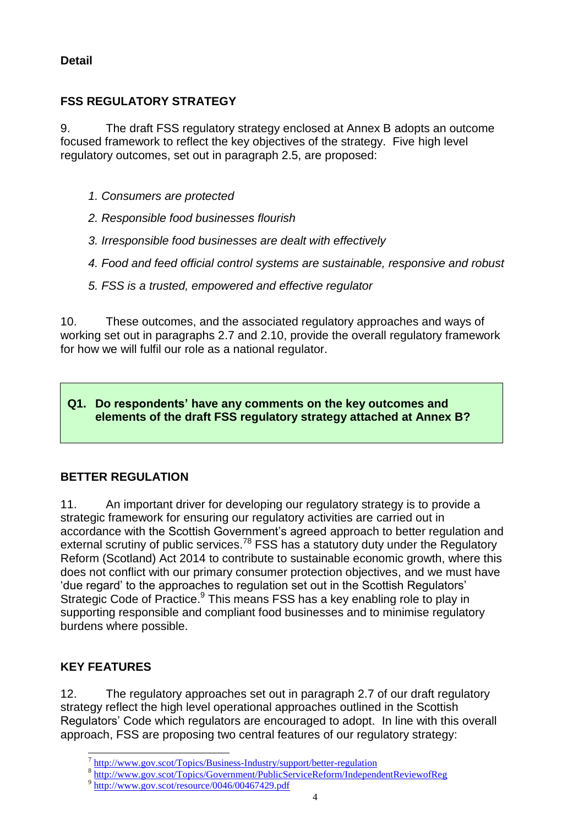## **Detail**

## **FSS REGULATORY STRATEGY**

9. The draft FSS regulatory strategy enclosed at Annex B adopts an outcome focused framework to reflect the key objectives of the strategy. Five high level regulatory outcomes, set out in paragraph 2.5, are proposed:

- *1. Consumers are protected*
- *2. Responsible food businesses flourish*
- *3. Irresponsible food businesses are dealt with effectively*
- *4. Food and feed official control systems are sustainable, responsive and robust*
- *5. FSS is a trusted, empowered and effective regulator*

10. These outcomes, and the associated regulatory approaches and ways of working set out in paragraphs 2.7 and 2.10, provide the overall regulatory framework for how we will fulfil our role as a national regulator.

## **Q1. Do respondents' have any comments on the key outcomes and elements of the draft FSS regulatory strategy attached at Annex B?**

# **BETTER REGULATION**

11. An important driver for developing our regulatory strategy is to provide a strategic framework for ensuring our regulatory activities are carried out in accordance with the Scottish Government's agreed approach to better regulation and external scrutiny of public services.<sup>78</sup> FSS has a statutory duty under the Regulatory Reform (Scotland) Act 2014 to contribute to sustainable economic growth, where this does not conflict with our primary consumer protection objectives, and we must have 'due regard' to the approaches to regulation set out in the Scottish Regulators' Strategic Code of Practice.<sup>9</sup> This means FSS has a key enabling role to play in supporting responsible and compliant food businesses and to minimise regulatory burdens where possible.

## **KEY FEATURES**

-

12. The regulatory approaches set out in paragraph 2.7 of our draft regulatory strategy reflect the high level operational approaches outlined in the Scottish Regulators' Code which regulators are encouraged to adopt. In line with this overall approach, FSS are proposing two central features of our regulatory strategy:

<sup>&</sup>lt;sup>7</sup> <http://www.gov.scot/Topics/Business-Industry/support/better-regulation>

<sup>8</sup> <http://www.gov.scot/Topics/Government/PublicServiceReform/IndependentReviewofReg>

<sup>&</sup>lt;sup>9</sup> <http://www.gov.scot/resource/0046/00467429.pdf>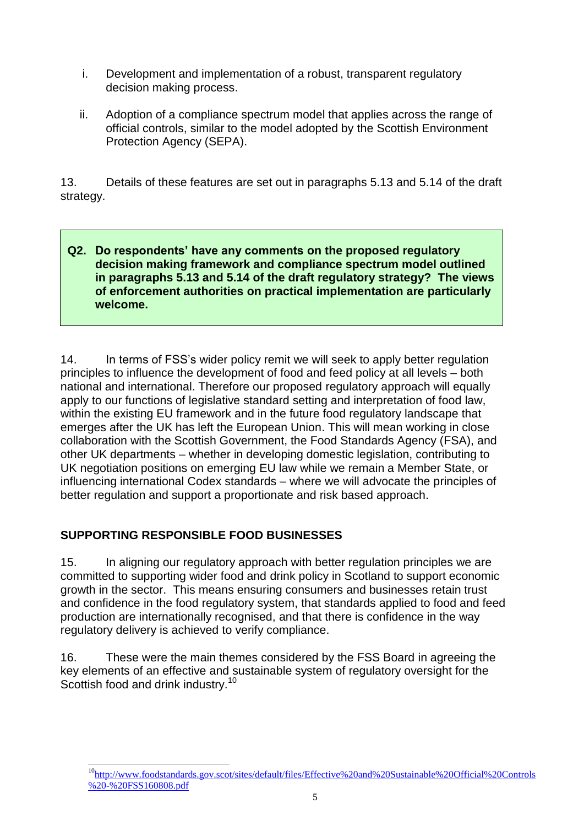- i. Development and implementation of a robust, transparent regulatory decision making process.
- ii. Adoption of a compliance spectrum model that applies across the range of official controls, similar to the model adopted by the Scottish Environment Protection Agency (SEPA).

13. Details of these features are set out in paragraphs 5.13 and 5.14 of the draft strategy.

### **Q2. Do respondents' have any comments on the proposed regulatory decision making framework and compliance spectrum model outlined in paragraphs 5.13 and 5.14 of the draft regulatory strategy? The views of enforcement authorities on practical implementation are particularly welcome.**

14. In terms of FSS's wider policy remit we will seek to apply better regulation principles to influence the development of food and feed policy at all levels – both national and international. Therefore our proposed regulatory approach will equally apply to our functions of legislative standard setting and interpretation of food law, within the existing EU framework and in the future food regulatory landscape that emerges after the UK has left the European Union. This will mean working in close collaboration with the Scottish Government, the Food Standards Agency (FSA), and other UK departments – whether in developing domestic legislation, contributing to UK negotiation positions on emerging EU law while we remain a Member State, or influencing international Codex standards – where we will advocate the principles of better regulation and support a proportionate and risk based approach.

## **SUPPORTING RESPONSIBLE FOOD BUSINESSES**

15. In aligning our regulatory approach with better regulation principles we are committed to supporting wider food and drink policy in Scotland to support economic growth in the sector. This means ensuring consumers and businesses retain trust and confidence in the food regulatory system, that standards applied to food and feed production are internationally recognised, and that there is confidence in the way regulatory delivery is achieved to verify compliance.

16. These were the main themes considered by the FSS Board in agreeing the key elements of an effective and sustainable system of regulatory oversight for the Scottish food and drink industry.<sup>10</sup>

 $\overline{a}$ <sup>10</sup>[http://www.foodstandards.gov.scot/sites/default/files/Effective%20and%20Sustainable%20Official%20Controls](http://www.foodstandards.gov.scot/sites/default/files/Effective%20and%20Sustainable%20Official%20Controls%20-%20FSS160808.pdf) [%20-%20FSS160808.pdf](http://www.foodstandards.gov.scot/sites/default/files/Effective%20and%20Sustainable%20Official%20Controls%20-%20FSS160808.pdf)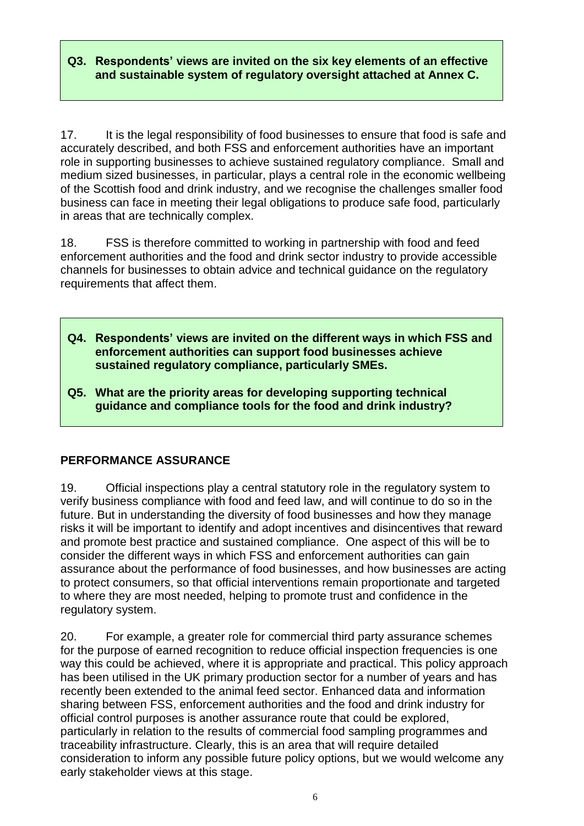### **Q3. Respondents' views are invited on the six key elements of an effective and sustainable system of regulatory oversight attached at Annex C.**

17. It is the legal responsibility of food businesses to ensure that food is safe and accurately described, and both FSS and enforcement authorities have an important role in supporting businesses to achieve sustained regulatory compliance. Small and medium sized businesses, in particular, plays a central role in the economic wellbeing of the Scottish food and drink industry, and we recognise the challenges smaller food business can face in meeting their legal obligations to produce safe food, particularly in areas that are technically complex.

18. FSS is therefore committed to working in partnership with food and feed enforcement authorities and the food and drink sector industry to provide accessible channels for businesses to obtain advice and technical guidance on the regulatory requirements that affect them.

- **Q4. Respondents' views are invited on the different ways in which FSS and enforcement authorities can support food businesses achieve sustained regulatory compliance, particularly SMEs.**
- **Q5. What are the priority areas for developing supporting technical guidance and compliance tools for the food and drink industry?**

## **PERFORMANCE ASSURANCE**

19. Official inspections play a central statutory role in the regulatory system to verify business compliance with food and feed law, and will continue to do so in the future. But in understanding the diversity of food businesses and how they manage risks it will be important to identify and adopt incentives and disincentives that reward and promote best practice and sustained compliance. One aspect of this will be to consider the different ways in which FSS and enforcement authorities can gain assurance about the performance of food businesses, and how businesses are acting to protect consumers, so that official interventions remain proportionate and targeted to where they are most needed, helping to promote trust and confidence in the regulatory system.

20. For example, a greater role for commercial third party assurance schemes for the purpose of earned recognition to reduce official inspection frequencies is one way this could be achieved, where it is appropriate and practical. This policy approach has been utilised in the UK primary production sector for a number of years and has recently been extended to the animal feed sector. Enhanced data and information sharing between FSS, enforcement authorities and the food and drink industry for official control purposes is another assurance route that could be explored, particularly in relation to the results of commercial food sampling programmes and traceability infrastructure. Clearly, this is an area that will require detailed consideration to inform any possible future policy options, but we would welcome any early stakeholder views at this stage.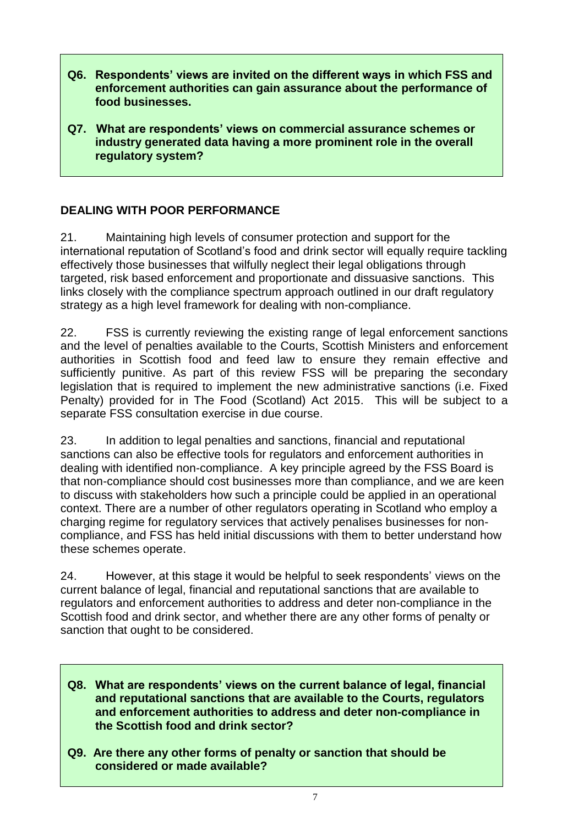- **Q6. Respondents' views are invited on the different ways in which FSS and enforcement authorities can gain assurance about the performance of food businesses.**
- **Q7. What are respondents' views on commercial assurance schemes or industry generated data having a more prominent role in the overall regulatory system?**

## **DEALING WITH POOR PERFORMANCE**

21. Maintaining high levels of consumer protection and support for the international reputation of Scotland's food and drink sector will equally require tackling effectively those businesses that wilfully neglect their legal obligations through targeted, risk based enforcement and proportionate and dissuasive sanctions. This links closely with the compliance spectrum approach outlined in our draft regulatory strategy as a high level framework for dealing with non-compliance.

22. FSS is currently reviewing the existing range of legal enforcement sanctions and the level of penalties available to the Courts, Scottish Ministers and enforcement authorities in Scottish food and feed law to ensure they remain effective and sufficiently punitive. As part of this review FSS will be preparing the secondary legislation that is required to implement the new administrative sanctions (i.e. Fixed Penalty) provided for in The Food (Scotland) Act 2015. This will be subject to a separate FSS consultation exercise in due course.

23. In addition to legal penalties and sanctions, financial and reputational sanctions can also be effective tools for regulators and enforcement authorities in dealing with identified non-compliance. A key principle agreed by the FSS Board is that non-compliance should cost businesses more than compliance, and we are keen to discuss with stakeholders how such a principle could be applied in an operational context. There are a number of other regulators operating in Scotland who employ a charging regime for regulatory services that actively penalises businesses for noncompliance, and FSS has held initial discussions with them to better understand how these schemes operate.

24. However, at this stage it would be helpful to seek respondents' views on the current balance of legal, financial and reputational sanctions that are available to regulators and enforcement authorities to address and deter non-compliance in the Scottish food and drink sector, and whether there are any other forms of penalty or sanction that ought to be considered.

- **Q8. What are respondents' views on the current balance of legal, financial and reputational sanctions that are available to the Courts, regulators and enforcement authorities to address and deter non-compliance in the Scottish food and drink sector?**
- **Q9. Are there any other forms of penalty or sanction that should be considered or made available?**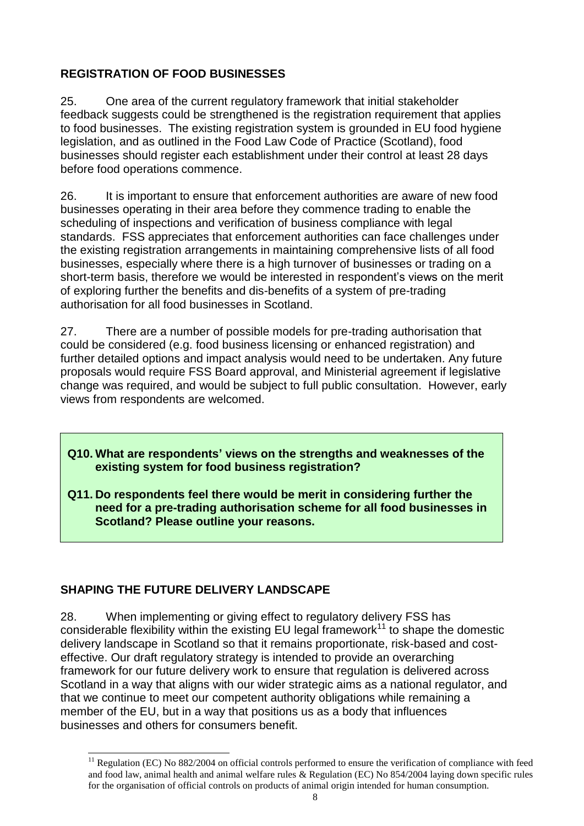## **REGISTRATION OF FOOD BUSINESSES**

25. One area of the current regulatory framework that initial stakeholder feedback suggests could be strengthened is the registration requirement that applies to food businesses. The existing registration system is grounded in EU food hygiene legislation, and as outlined in the Food Law Code of Practice (Scotland), food businesses should register each establishment under their control at least 28 days before food operations commence.

26. It is important to ensure that enforcement authorities are aware of new food businesses operating in their area before they commence trading to enable the scheduling of inspections and verification of business compliance with legal standards. FSS appreciates that enforcement authorities can face challenges under the existing registration arrangements in maintaining comprehensive lists of all food businesses, especially where there is a high turnover of businesses or trading on a short-term basis, therefore we would be interested in respondent's views on the merit of exploring further the benefits and dis-benefits of a system of pre-trading authorisation for all food businesses in Scotland.

27. There are a number of possible models for pre-trading authorisation that could be considered (e.g. food business licensing or enhanced registration) and further detailed options and impact analysis would need to be undertaken. Any future proposals would require FSS Board approval, and Ministerial agreement if legislative change was required, and would be subject to full public consultation. However, early views from respondents are welcomed.

### **Q10. What are respondents' views on the strengths and weaknesses of the existing system for food business registration?**

**Q11. Do respondents feel there would be merit in considering further the need for a pre-trading authorisation scheme for all food businesses in Scotland? Please outline your reasons.**

## **SHAPING THE FUTURE DELIVERY LANDSCAPE**

-

28. When implementing or giving effect to regulatory delivery FSS has considerable flexibility within the existing EU legal framework<sup>11</sup> to shape the domestic delivery landscape in Scotland so that it remains proportionate, risk-based and costeffective. Our draft regulatory strategy is intended to provide an overarching framework for our future delivery work to ensure that regulation is delivered across Scotland in a way that aligns with our wider strategic aims as a national regulator, and that we continue to meet our competent authority obligations while remaining a member of the EU, but in a way that positions us as a body that influences businesses and others for consumers benefit.

 $11$  Regulation (EC) No 882/2004 on official controls performed to ensure the verification of compliance with feed and food law, animal health and animal welfare rules & Regulation (EC) No 854/2004 laying down specific rules for the organisation of official controls on products of animal origin intended for human consumption.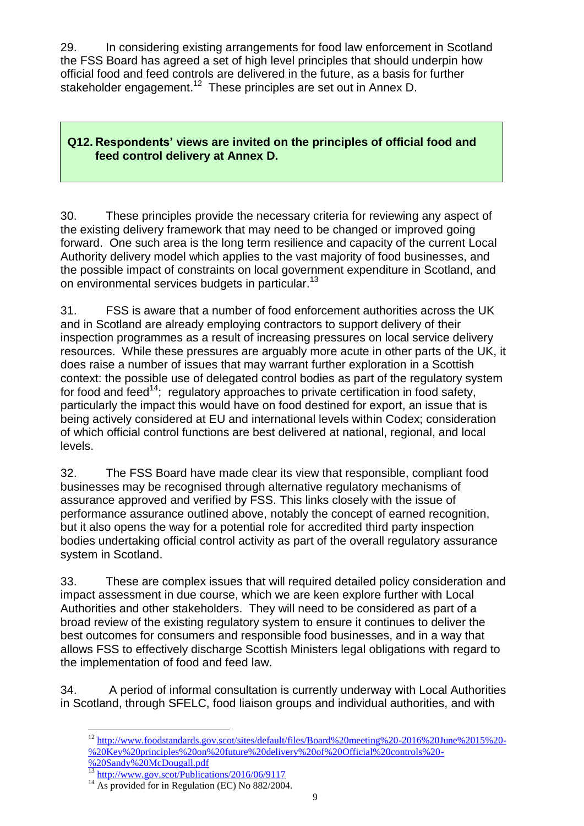29. In considering existing arrangements for food law enforcement in Scotland the FSS Board has agreed a set of high level principles that should underpin how official food and feed controls are delivered in the future, as a basis for further stakeholder engagement.<sup>12</sup> These principles are set out in Annex D.

## **Q12. Respondents' views are invited on the principles of official food and feed control delivery at Annex D.**

30. These principles provide the necessary criteria for reviewing any aspect of the existing delivery framework that may need to be changed or improved going forward. One such area is the long term resilience and capacity of the current Local Authority delivery model which applies to the vast majority of food businesses, and the possible impact of constraints on local government expenditure in Scotland, and on environmental services budgets in particular.<sup>13</sup>

31. FSS is aware that a number of food enforcement authorities across the UK and in Scotland are already employing contractors to support delivery of their inspection programmes as a result of increasing pressures on local service delivery resources. While these pressures are arguably more acute in other parts of the UK, it does raise a number of issues that may warrant further exploration in a Scottish context: the possible use of delegated control bodies as part of the regulatory system for food and feed<sup>14</sup>; regulatory approaches to private certification in food safety. particularly the impact this would have on food destined for export, an issue that is being actively considered at EU and international levels within Codex; consideration of which official control functions are best delivered at national, regional, and local levels.

32. The FSS Board have made clear its view that responsible, compliant food businesses may be recognised through alternative regulatory mechanisms of assurance approved and verified by FSS. This links closely with the issue of performance assurance outlined above, notably the concept of earned recognition, but it also opens the way for a potential role for accredited third party inspection bodies undertaking official control activity as part of the overall regulatory assurance system in Scotland.

33. These are complex issues that will required detailed policy consideration and impact assessment in due course, which we are keen explore further with Local Authorities and other stakeholders. They will need to be considered as part of a broad review of the existing regulatory system to ensure it continues to deliver the best outcomes for consumers and responsible food businesses, and in a way that allows FSS to effectively discharge Scottish Ministers legal obligations with regard to the implementation of food and feed law.

34. A period of informal consultation is currently underway with Local Authorities in Scotland, through SFELC, food liaison groups and individual authorities, and with

<sup>1</sup> <sup>12</sup> [http://www.foodstandards.gov.scot/sites/default/files/Board%20meeting%20-2016%20June%2015%20-](http://www.foodstandards.gov.scot/sites/default/files/Board%20meeting%20-2016%20June%2015%20-%20Key%20principles%20on%20future%20delivery%20of%20Official%20controls%20-%20Sandy%20McDougall.pdf) [%20Key%20principles%20on%20future%20delivery%20of%20Official%20controls%20-](http://www.foodstandards.gov.scot/sites/default/files/Board%20meeting%20-2016%20June%2015%20-%20Key%20principles%20on%20future%20delivery%20of%20Official%20controls%20-%20Sandy%20McDougall.pdf)

[<sup>%20</sup>Sandy%20McDougall.pdf](http://www.foodstandards.gov.scot/sites/default/files/Board%20meeting%20-2016%20June%2015%20-%20Key%20principles%20on%20future%20delivery%20of%20Official%20controls%20-%20Sandy%20McDougall.pdf)

<http://www.gov.scot/Publications/2016/06/9117>

 $14$  As provided for in Regulation (EC) No 882/2004.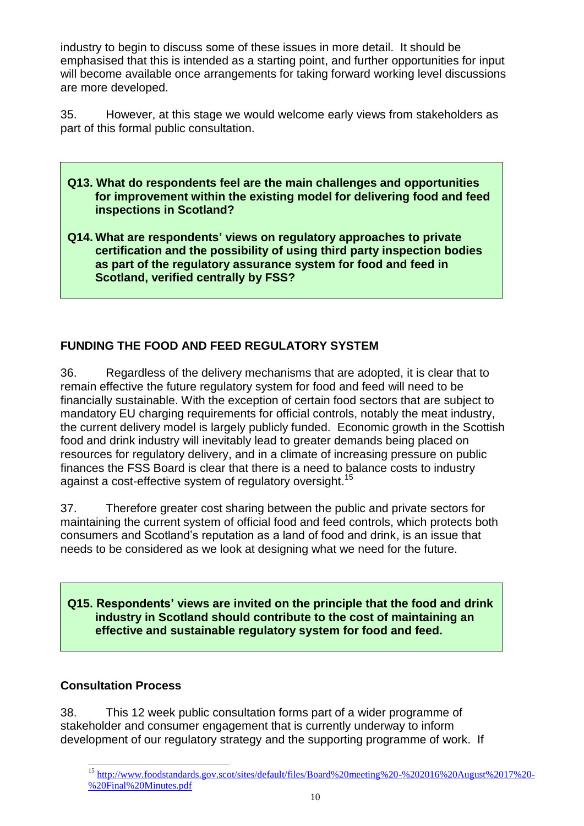industry to begin to discuss some of these issues in more detail. It should be emphasised that this is intended as a starting point, and further opportunities for input will become available once arrangements for taking forward working level discussions are more developed.

35. However, at this stage we would welcome early views from stakeholders as part of this formal public consultation.

- **Q13. What do respondents feel are the main challenges and opportunities for improvement within the existing model for delivering food and feed inspections in Scotland?**
- **Q14. What are respondents' views on regulatory approaches to private certification and the possibility of using third party inspection bodies as part of the regulatory assurance system for food and feed in Scotland, verified centrally by FSS?**

## **FUNDING THE FOOD AND FEED REGULATORY SYSTEM**

36. Regardless of the delivery mechanisms that are adopted, it is clear that to remain effective the future regulatory system for food and feed will need to be financially sustainable. With the exception of certain food sectors that are subject to mandatory EU charging requirements for official controls, notably the meat industry, the current delivery model is largely publicly funded. Economic growth in the Scottish food and drink industry will inevitably lead to greater demands being placed on resources for regulatory delivery, and in a climate of increasing pressure on public finances the FSS Board is clear that there is a need to balance costs to industry against a cost-effective system of regulatory oversight.<sup>15</sup>

37. Therefore greater cost sharing between the public and private sectors for maintaining the current system of official food and feed controls, which protects both consumers and Scotland's reputation as a land of food and drink, is an issue that needs to be considered as we look at designing what we need for the future.

**Q15. Respondents' views are invited on the principle that the food and drink industry in Scotland should contribute to the cost of maintaining an effective and sustainable regulatory system for food and feed.**

#### **Consultation Process**

38. This 12 week public consultation forms part of a wider programme of stakeholder and consumer engagement that is currently underway to inform development of our regulatory strategy and the supporting programme of work. If

 $\overline{a}$ <sup>15</sup> [http://www.foodstandards.gov.scot/sites/default/files/Board%20meeting%20-%202016%20August%2017%20-](http://www.foodstandards.gov.scot/sites/default/files/Board%20meeting%20-%202016%20August%2017%20-%20Final%20Minutes.pdf) [%20Final%20Minutes.pdf](http://www.foodstandards.gov.scot/sites/default/files/Board%20meeting%20-%202016%20August%2017%20-%20Final%20Minutes.pdf)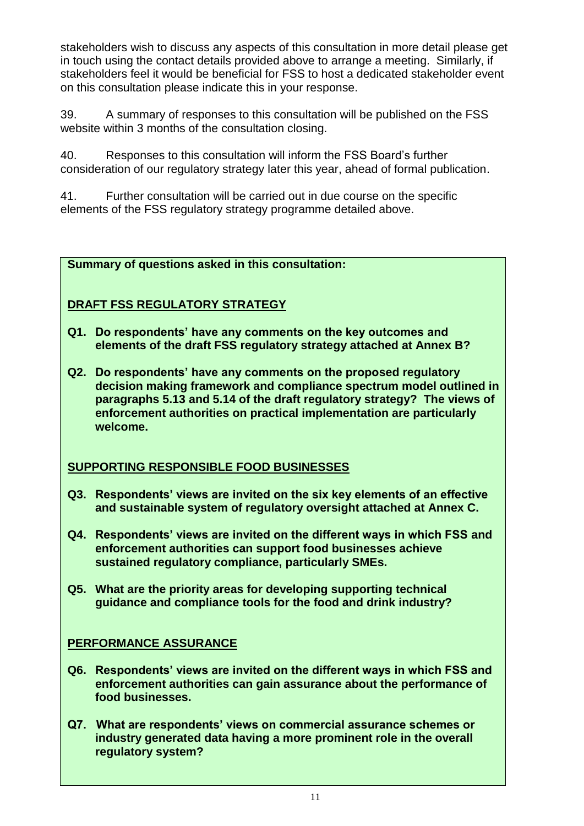stakeholders wish to discuss any aspects of this consultation in more detail please get in touch using the contact details provided above to arrange a meeting. Similarly, if stakeholders feel it would be beneficial for FSS to host a dedicated stakeholder event on this consultation please indicate this in your response.

39. A summary of responses to this consultation will be published on the FSS website within 3 months of the consultation closing.

40. Responses to this consultation will inform the FSS Board's further consideration of our regulatory strategy later this year, ahead of formal publication.

41. Further consultation will be carried out in due course on the specific elements of the FSS regulatory strategy programme detailed above.

### **Summary of questions asked in this consultation:**

## **DRAFT FSS REGULATORY STRATEGY**

- **Q1. Do respondents' have any comments on the key outcomes and elements of the draft FSS regulatory strategy attached at Annex B?**
- **Q2. Do respondents' have any comments on the proposed regulatory decision making framework and compliance spectrum model outlined in paragraphs 5.13 and 5.14 of the draft regulatory strategy? The views of enforcement authorities on practical implementation are particularly welcome.**

## **SUPPORTING RESPONSIBLE FOOD BUSINESSES**

- **Q3. Respondents' views are invited on the six key elements of an effective and sustainable system of regulatory oversight attached at Annex C.**
- **Q4. Respondents' views are invited on the different ways in which FSS and enforcement authorities can support food businesses achieve sustained regulatory compliance, particularly SMEs.**
- **Q5. What are the priority areas for developing supporting technical guidance and compliance tools for the food and drink industry?**

## **PERFORMANCE ASSURANCE**

- **Q6. Respondents' views are invited on the different ways in which FSS and enforcement authorities can gain assurance about the performance of food businesses.**
- **Q7. What are respondents' views on commercial assurance schemes or industry generated data having a more prominent role in the overall regulatory system?**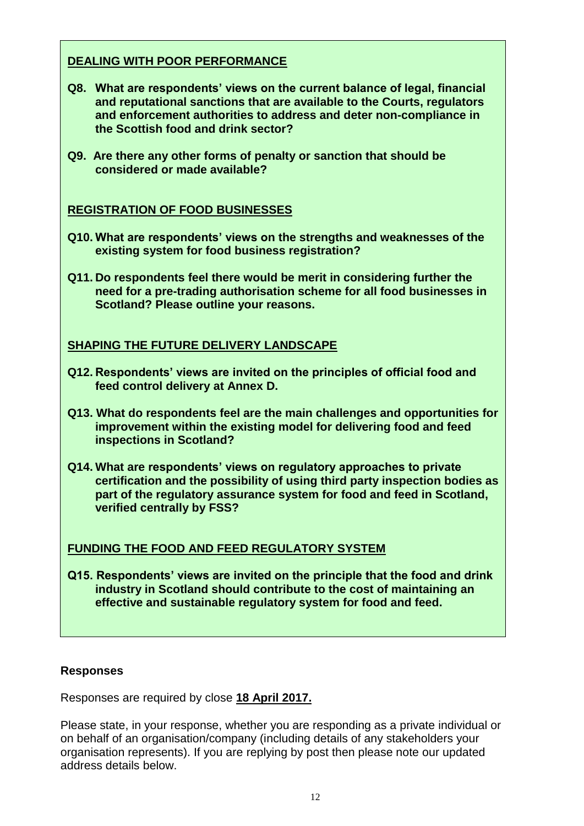## **DEALING WITH POOR PERFORMANCE**

- **Q8. What are respondents' views on the current balance of legal, financial and reputational sanctions that are available to the Courts, regulators and enforcement authorities to address and deter non-compliance in the Scottish food and drink sector?**
- **Q9. Are there any other forms of penalty or sanction that should be considered or made available?**

### **REGISTRATION OF FOOD BUSINESSES**

- **Q10. What are respondents' views on the strengths and weaknesses of the existing system for food business registration?**
- **Q11. Do respondents feel there would be merit in considering further the need for a pre-trading authorisation scheme for all food businesses in Scotland? Please outline your reasons.**

### **SHAPING THE FUTURE DELIVERY LANDSCAPE**

- **Q12. Respondents' views are invited on the principles of official food and feed control delivery at Annex D.**
- **Q13. What do respondents feel are the main challenges and opportunities for improvement within the existing model for delivering food and feed inspections in Scotland?**
- **Q14. What are respondents' views on regulatory approaches to private certification and the possibility of using third party inspection bodies as part of the regulatory assurance system for food and feed in Scotland, verified centrally by FSS?**

#### **FUNDING THE FOOD AND FEED REGULATORY SYSTEM**

**Q15. Respondents' views are invited on the principle that the food and drink industry in Scotland should contribute to the cost of maintaining an effective and sustainable regulatory system for food and feed.** 

#### **Responses**

Responses are required by close **18 April 2017.**

Please state, in your response, whether you are responding as a private individual or on behalf of an organisation/company (including details of any stakeholders your organisation represents). If you are replying by post then please note our updated address details below.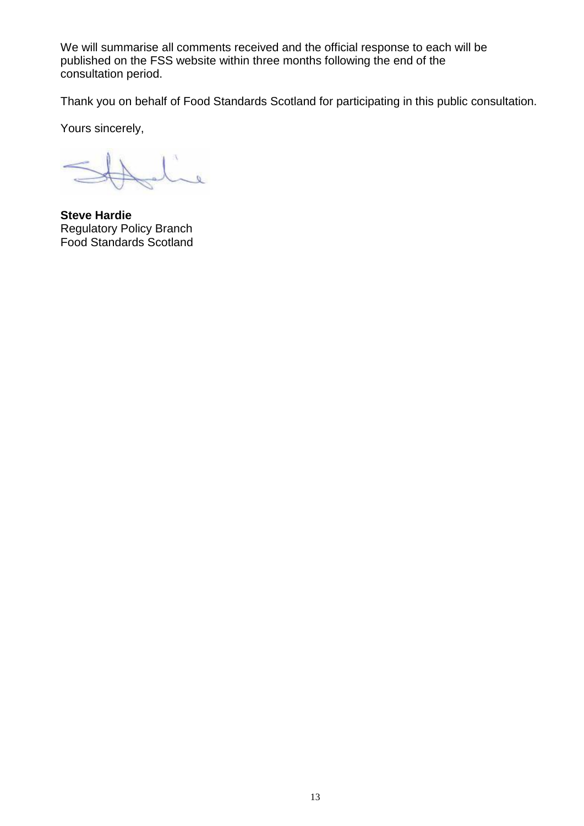We will summarise all comments received and the official response to each will be published on the FSS website within three months following the end of the consultation period.

Thank you on behalf of Food Standards Scotland for participating in this public consultation.

Yours sincerely,

 $\overline{\mathbb{R}}$ 

**Steve Hardie** Regulatory Policy Branch Food Standards Scotland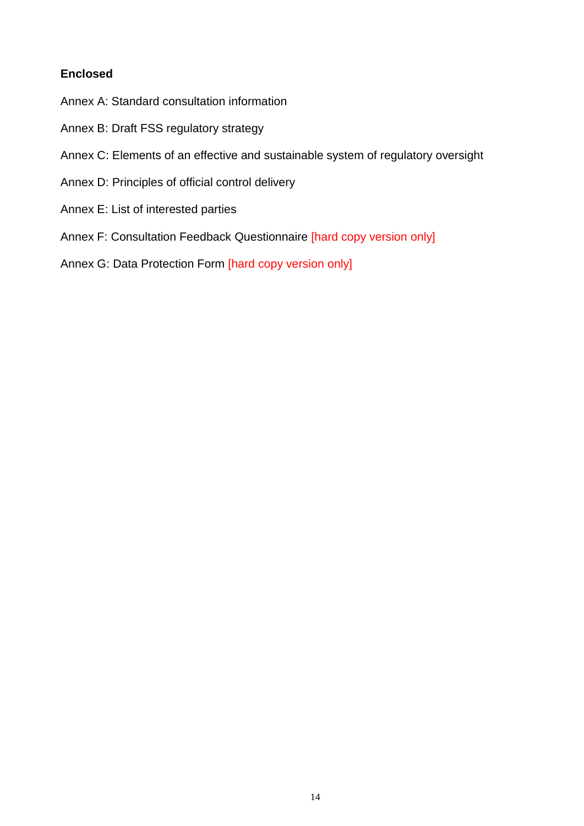## **Enclosed**

- Annex A: Standard consultation information
- Annex B: Draft FSS regulatory strategy
- Annex C: Elements of an effective and sustainable system of regulatory oversight
- Annex D: Principles of official control delivery
- Annex E: List of interested parties
- Annex F: Consultation Feedback Questionnaire [hard copy version only]
- Annex G: Data Protection Form [hard copy version only]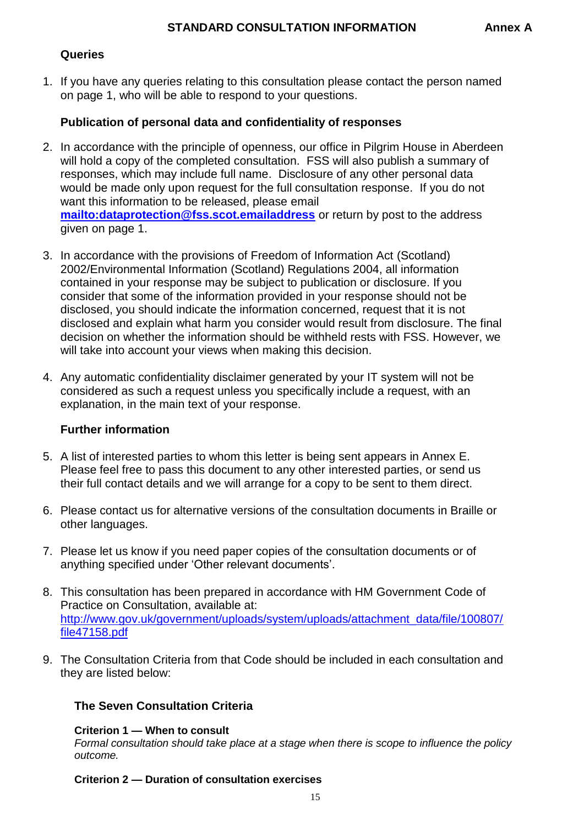## **Queries**

1. If you have any queries relating to this consultation please contact the person named on page 1, who will be able to respond to your questions.

## **Publication of personal data and confidentiality of responses**

- 2. In accordance with the principle of openness, our office in Pilgrim House in Aberdeen will hold a copy of the completed consultation. FSS will also publish a summary of responses, which may include full name. Disclosure of any other personal data would be made only upon request for the full consultation response. If you do not want this information to be released, please email **<mailto:dataprotection@fss.scot.emailaddress>** or return by post to the address given on page 1.
- 3. In accordance with the provisions of Freedom of Information Act (Scotland) 2002/Environmental Information (Scotland) Regulations 2004, all information contained in your response may be subject to publication or disclosure. If you consider that some of the information provided in your response should not be disclosed, you should indicate the information concerned, request that it is not disclosed and explain what harm you consider would result from disclosure. The final decision on whether the information should be withheld rests with FSS. However, we will take into account your views when making this decision.
- 4. Any automatic confidentiality disclaimer generated by your IT system will not be considered as such a request unless you specifically include a request, with an explanation, in the main text of your response.

## **Further information**

- 5. A list of interested parties to whom this letter is being sent appears in Annex E. Please feel free to pass this document to any other interested parties, or send us their full contact details and we will arrange for a copy to be sent to them direct.
- 6. Please contact us for alternative versions of the consultation documents in Braille or other languages.
- 7. Please let us know if you need paper copies of the consultation documents or of anything specified under 'Other relevant documents'.
- 8. This consultation has been prepared in accordance with HM Government Code of Practice on Consultation, available at: [http://www.gov.uk/government/uploads/system/uploads/attachment\\_data/file/100807/](http://www.gov.uk/government/uploads/system/uploads/attachment_data/file/100807/file47158.pdf) [file47158.pdf](http://www.gov.uk/government/uploads/system/uploads/attachment_data/file/100807/file47158.pdf)
- 9. The Consultation Criteria from that Code should be included in each consultation and they are listed below:

## **The Seven Consultation Criteria**

#### **Criterion 1 — When to consult**

*Formal consultation should take place at a stage when there is scope to influence the policy outcome.*

#### **Criterion 2 — Duration of consultation exercises**